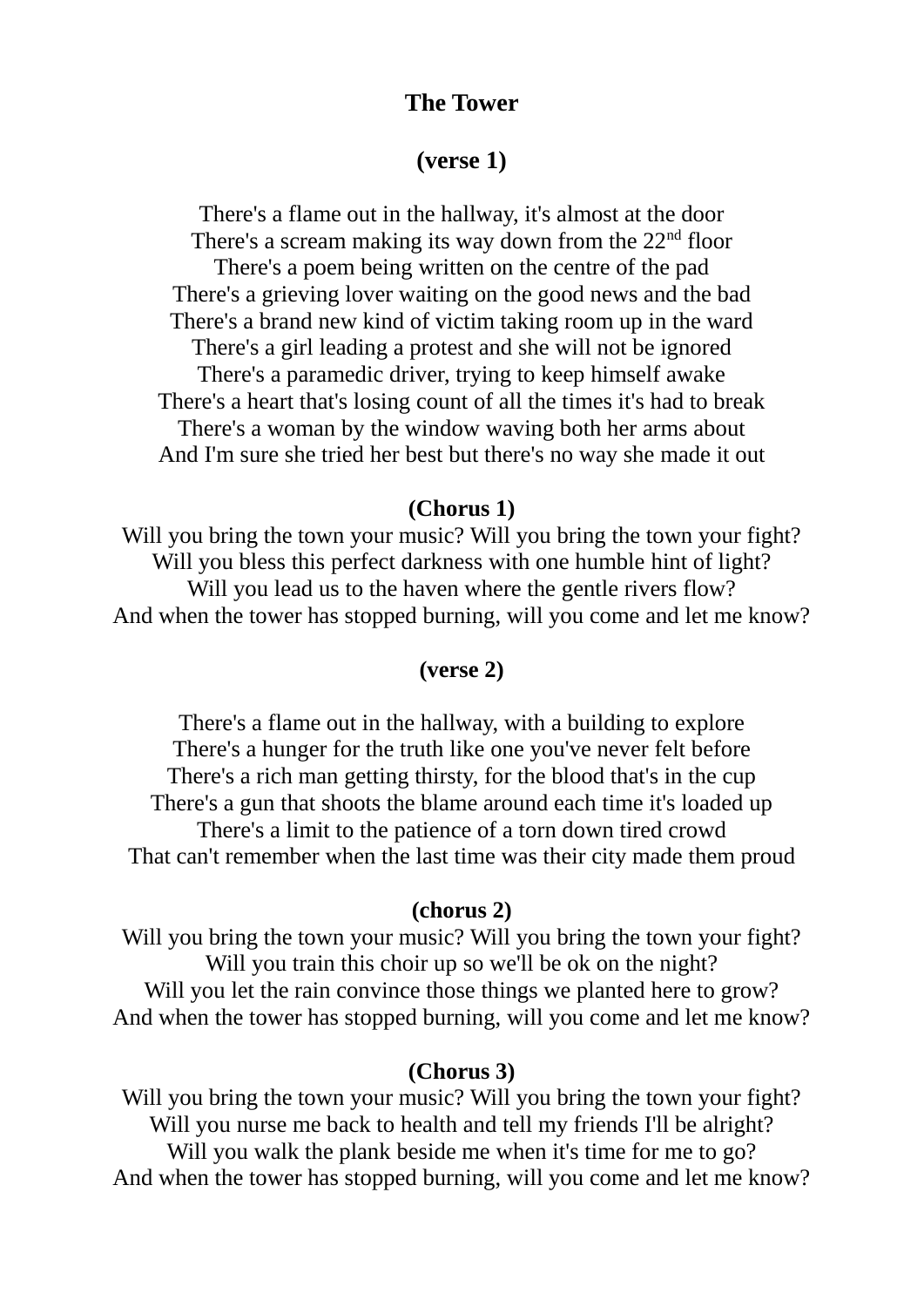# **The Tower**

# **(verse 1)**

There's a flame out in the hallway, it's almost at the door There's a scream making its way down from the  $22<sup>nd</sup>$  floor There's a poem being written on the centre of the pad There's a grieving lover waiting on the good news and the bad There's a brand new kind of victim taking room up in the ward There's a girl leading a protest and she will not be ignored There's a paramedic driver, trying to keep himself awake There's a heart that's losing count of all the times it's had to break There's a woman by the window waving both her arms about And I'm sure she tried her best but there's no way she made it out

## **(Chorus 1)**

Will you bring the town your music? Will you bring the town your fight? Will you bless this perfect darkness with one humble hint of light? Will you lead us to the haven where the gentle rivers flow? And when the tower has stopped burning, will you come and let me know?

## **(verse 2)**

There's a flame out in the hallway, with a building to explore There's a hunger for the truth like one you've never felt before There's a rich man getting thirsty, for the blood that's in the cup There's a gun that shoots the blame around each time it's loaded up There's a limit to the patience of a torn down tired crowd That can't remember when the last time was their city made them proud

#### **(chorus 2)**

Will you bring the town your music? Will you bring the town your fight? Will you train this choir up so we'll be ok on the night? Will you let the rain convince those things we planted here to grow? And when the tower has stopped burning, will you come and let me know?

#### **(Chorus 3)**

Will you bring the town your music? Will you bring the town your fight? Will you nurse me back to health and tell my friends I'll be alright? Will you walk the plank beside me when it's time for me to go? And when the tower has stopped burning, will you come and let me know?